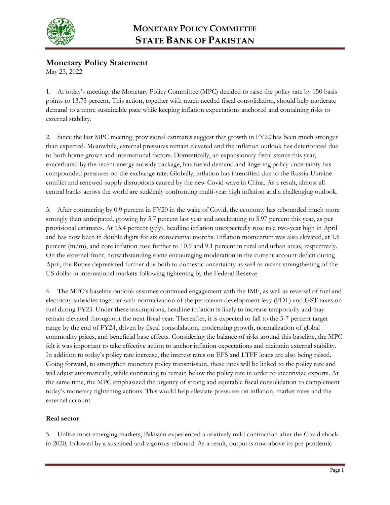

# **Monetary Policy Statement**

May 23, 2022

1. At today's meeting, the Monetary Policy Committee (MPC) decided to raise the policy rate by 150 basis points to 13.75 percent. This action, together with much needed fiscal consolidation, should help moderate demand to a more sustainable pace while keeping inflation expectations anchored and containing risks to external stability.

2. Since the last MPC meeting, provisional estimates suggest that growth in FY22 has been much stronger than expected. Meanwhile, external pressures remain elevated and the inflation outlook has deteriorated due to both home-grown and international factors. Domestically, an expansionary fiscal stance this year, exacerbated by the recent energy subsidy package, has fueled demand and lingering policy uncertainty has compounded pressures on the exchange rate. Globally, inflation has intensified due to the Russia-Ukraine conflict and renewed supply disruptions caused by the new Covid wave in China. As a result, almost all central banks across the world are suddenly confronting multi-year high inflation and a challenging outlook.

3. After contracting by 0.9 percent in FY20 in the wake of Covid, the economy has rebounded much more strongly than anticipated, growing by 5.7 percent last year and accelerating to 5.97 percent this year, as per provisional estimates. At 13.4 percent (y/y), headline inflation unexpectedly rose to a two-year high in April and has now been in double digits for six consecutive months. Inflation momentum was also elevated, at 1.6 percent (m/m), and core inflation rose further to 10.9 and 9.1 percent in rural and urban areas, respectively. On the external front, notwithstanding some encouraging moderation in the current account deficit during April, the Rupee depreciated further due both to domestic uncertainty as well as recent strengthening of the US dollar in international markets following tightening by the Federal Reserve.

4. The MPC's baseline outlook assumes continued engagement with the IMF, as well as reversal of fuel and electricity subsidies together with normalization of the petroleum development levy (PDL) and GST taxes on fuel during FY23. Under these assumptions, headline inflation is likely to increase temporarily and may remain elevated throughout the next fiscal year. Thereafter, it is expected to fall to the 5-7 percent target range by the end of FY24, driven by fiscal consolidation, moderating growth, normalization of global commodity prices, and beneficial base effects. Considering the balance of risks around this baseline, the MPC felt it was important to take effective action to anchor inflation expectations and maintain external stability. In addition to today's policy rate increase, the interest rates on EFS and LTFF loans are also being raised. Going forward, to strengthen monetary policy transmission, these rates will be linked to the policy rate and will adjust automatically, while continuing to remain below the policy rate in order to incentivize exports. At the same time, the MPC emphasized the urgency of strong and equitable fiscal consolidation to complement today's monetary tightening actions. This would help alleviate pressures on inflation, market rates and the external account.

### **Real sector**

5. Unlike most emerging markets, Pakistan experienced a relatively mild contraction after the Covid shock in 2020, followed by a sustained and vigorous rebound. As a result, output is now above its pre-pandemic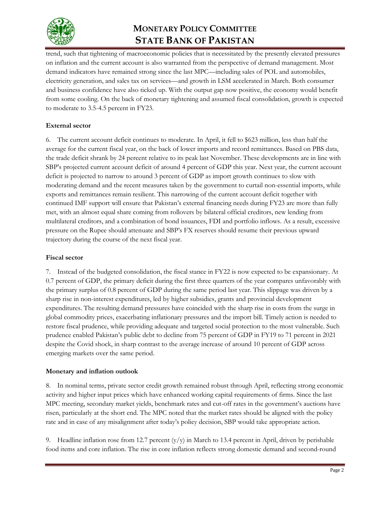

# **MONETARY POLICY COMMITTEE STATE BANK OF PAKISTAN**

trend, such that tightening of macroeconomic policies that is necessitated by the presently elevated pressures on inflation and the current account is also warranted from the perspective of demand management. Most demand indicators have remained strong since the last MPC—including sales of POL and automobiles, electricity generation, and sales tax on services—and growth in LSM accelerated in March. Both consumer and business confidence have also ticked up. With the output gap now positive, the economy would benefit from some cooling. On the back of monetary tightening and assumed fiscal consolidation, growth is expected to moderate to 3.5-4.5 percent in FY23.

## **External sector**

6. The current account deficit continues to moderate. In April, it fell to \$623 million, less than half the average for the current fiscal year, on the back of lower imports and record remittances. Based on PBS data, the trade deficit shrank by 24 percent relative to its peak last November. These developments are in line with SBP's projected current account deficit of around 4 percent of GDP this year. Next year, the current account deficit is projected to narrow to around 3 percent of GDP as import growth continues to slow with moderating demand and the recent measures taken by the government to curtail non-essential imports, while exports and remittances remain resilient. This narrowing of the current account deficit together with continued IMF support will ensure that Pakistan's external financing needs during FY23 are more than fully met, with an almost equal share coming from rollovers by bilateral official creditors, new lending from multilateral creditors, and a combination of bond issuances, FDI and portfolio inflows. As a result, excessive pressure on the Rupee should attenuate and SBP's FX reserves should resume their previous upward trajectory during the course of the next fiscal year.

### **Fiscal sector**

7. Instead of the budgeted consolidation, the fiscal stance in FY22 is now expected to be expansionary. At 0.7 percent of GDP, the primary deficit during the first three quarters of the year compares unfavorably with the primary surplus of 0.8 percent of GDP during the same period last year. This slippage was driven by a sharp rise in non-interest expenditures, led by higher subsidies, grants and provincial development expenditures. The resulting demand pressures have coincided with the sharp rise in costs from the surge in global commodity prices, exacerbating inflationary pressures and the import bill. Timely action is needed to restore fiscal prudence, while providing adequate and targeted social protection to the most vulnerable. Such prudence enabled Pakistan's public debt to decline from 75 percent of GDP in FY19 to 71 percent in 2021 despite the Covid shock, in sharp contrast to the average increase of around 10 percent of GDP across emerging markets over the same period.

### **Monetary and inflation outlook**

8. In nominal terms, private sector credit growth remained robust through April, reflecting strong economic activity and higher input prices which have enhanced working capital requirements of firms. Since the last MPC meeting, secondary market yields, benchmark rates and cut-off rates in the government's auctions have risen, particularly at the short end. The MPC noted that the market rates should be aligned with the policy rate and in case of any misalignment after today's policy decision, SBP would take appropriate action.

9. Headline inflation rose from 12.7 percent  $(y/y)$  in March to 13.4 percent in April, driven by perishable food items and core inflation. The rise in core inflation reflects strong domestic demand and second-round